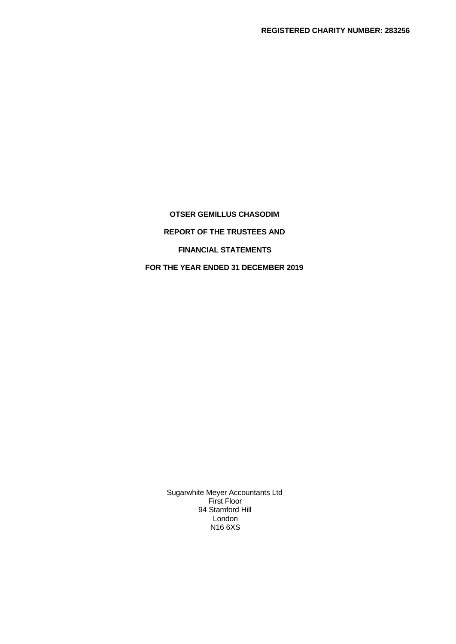**OTSER GEMILLUS CHASODIM REPORT OF THE TRUSTEES AND FINANCIAL STATEMENTS FOR THE YEAR ENDED 31 DECEMBER 2019**

> Sugarwhite Meyer Accountants Ltd First Floor 94 Stamford Hill London N16 6XS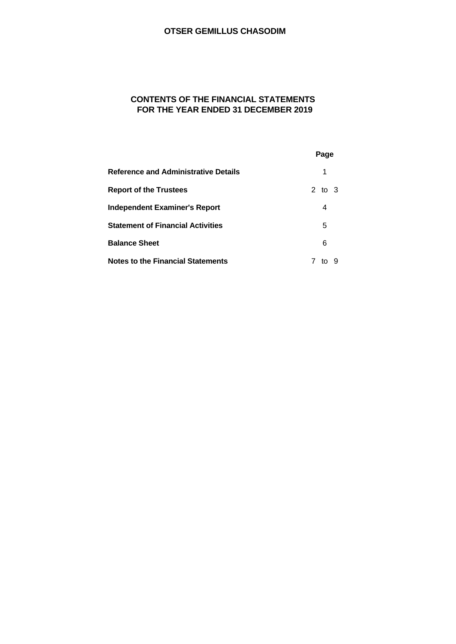# **CONTENTS OF THE FINANCIAL STATEMENTS FOR THE YEAR ENDED 31 DECEMBER 2019**

|                                             | Page    |  |
|---------------------------------------------|---------|--|
| <b>Reference and Administrative Details</b> | 1       |  |
| <b>Report of the Trustees</b>               | 2 to 3  |  |
| <b>Independent Examiner's Report</b>        | 4       |  |
| <b>Statement of Financial Activities</b>    | 5       |  |
| <b>Balance Sheet</b>                        | 6       |  |
| <b>Notes to the Financial Statements</b>    | 9<br>to |  |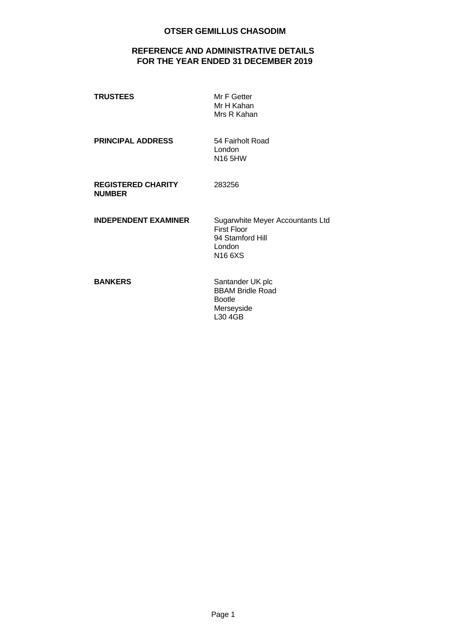# **REFERENCE AND ADMINISTRATIVE DETAILS FOR THE YEAR ENDED 31 DECEMBER 2019**

| <b>TRUSTEES</b>                            | Mr F Getter<br>Mr H Kahan<br>Mrs R Kahan                                                       |
|--------------------------------------------|------------------------------------------------------------------------------------------------|
| <b>PRINCIPAL ADDRESS</b>                   | 54 Fairholt Road<br>London<br>N16 5HW                                                          |
| <b>REGISTERED CHARITY</b><br><b>NUMBER</b> | 283256                                                                                         |
| <b>INDEPENDENT EXAMINER</b>                | Sugarwhite Meyer Accountants Ltd<br><b>First Floor</b><br>94 Stamford Hill<br>London<br>N166XS |
| <b>BANKERS</b>                             | Santander UK plc<br><b>BBAM Bridle Road</b><br><b>Bootle</b><br>Merseyside                     |

L30 4GB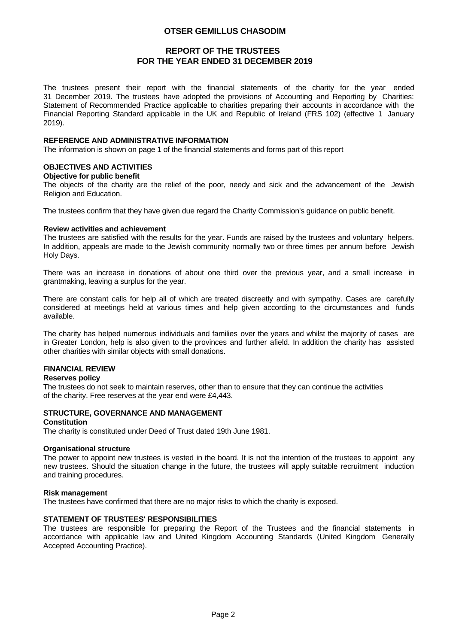## **REPORT OF THE TRUSTEES FOR THE YEAR ENDED 31 DECEMBER 2019**

The trustees present their report with the financial statements of the charity for the year ended 31 December 2019. The trustees have adopted the provisions of Accounting and Reporting by Charities: Statement of Recommended Practice applicable to charities preparing their accounts in accordance with the Financial Reporting Standard applicable in the UK and Republic of Ireland (FRS 102) (effective 1 January 2019).

### **REFERENCE AND ADMINISTRATIVE INFORMATION**

The information is shown on page 1 of the financial statements and forms part of this report

### **OBJECTIVES AND ACTIVITIES**

#### **Objective for public benefit**

The objects of the charity are the relief of the poor, needy and sick and the advancement of the Jewish Religion and Education.

The trustees confirm that they have given due regard the Charity Commission's guidance on public benefit.

#### **Review activities and achievement**

The trustees are satisfied with the results for the year. Funds are raised by the trustees and voluntary helpers. In addition, appeals are made to the Jewish community normally two or three times per annum before Jewish Holy Days.

There was an increase in donations of about one third over the previous year, and a small increase in grantmaking, leaving a surplus for the year.

There are constant calls for help all of which are treated discreetly and with sympathy. Cases are carefully considered at meetings held at various times and help given according to the circumstances and funds available.

The charity has helped numerous individuals and families over the years and whilst the majority of cases are in Greater London, help is also given to the provinces and further afield. In addition the charity has assisted other charities with similar objects with small donations.

### **FINANCIAL REVIEW**

### **Reserves policy**

The trustees do not seek to maintain reserves, other than to ensure that they can continue the activities of the charity. Free reserves at the year end were £4,443.

### **STRUCTURE, GOVERNANCE AND MANAGEMENT**

#### **Constitution**

The charity is constituted under Deed of Trust dated 19th June 1981.

### **Organisational structure**

The power to appoint new trustees is vested in the board. It is not the intention of the trustees to appoint any new trustees. Should the situation change in the future, the trustees will apply suitable recruitment induction and training procedures.

### **Risk management**

The trustees have confirmed that there are no major risks to which the charity is exposed.

### **STATEMENT OF TRUSTEES' RESPONSIBILITIES**

The trustees are responsible for preparing the Report of the Trustees and the financial statements in accordance with applicable law and United Kingdom Accounting Standards (United Kingdom Generally Accepted Accounting Practice).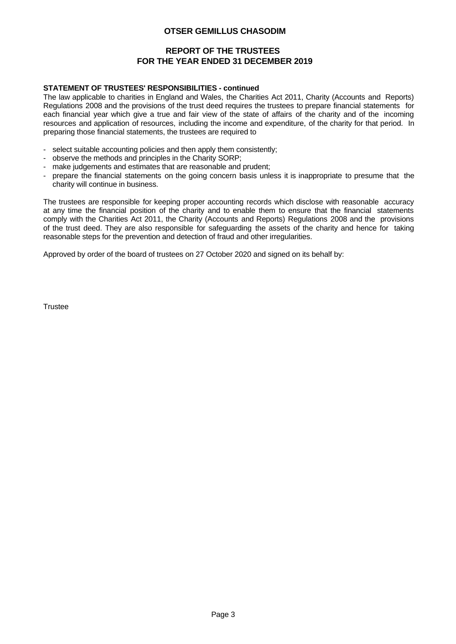# **REPORT OF THE TRUSTEES FOR THE YEAR ENDED 31 DECEMBER 2019**

### **STATEMENT OF TRUSTEES' RESPONSIBILITIES - continued**

The law applicable to charities in England and Wales, the Charities Act 2011, Charity (Accounts and Reports) Regulations 2008 and the provisions of the trust deed requires the trustees to prepare financial statements for each financial year which give a true and fair view of the state of affairs of the charity and of the incoming resources and application of resources, including the income and expenditure, of the charity for that period. In preparing those financial statements, the trustees are required to

- 
- 
- 
- select suitable accounting policies and then apply them consistently;<br>
observe the methods and principles in the Charity SORP;<br>
make judgements and estimates that are reasonable and prudent;<br>
prepare the financial charity will continue in business.

The trustees are responsible for keeping proper accounting records which disclose with reasonable accuracy at any time the financial position of the charity and to enable them to ensure that the financial statements comply with the Charities Act 2011, the Charity (Accounts and Reports) Regulations 2008 and the provisions of the trust deed. They are also responsible for safeguarding the assets of the charity and hence for taking reasonable steps for the prevention and detection of fraud and other irregularities.

Approved by order of the board of trustees on 27 October 2020 and signed on its behalf by:

**Trustee**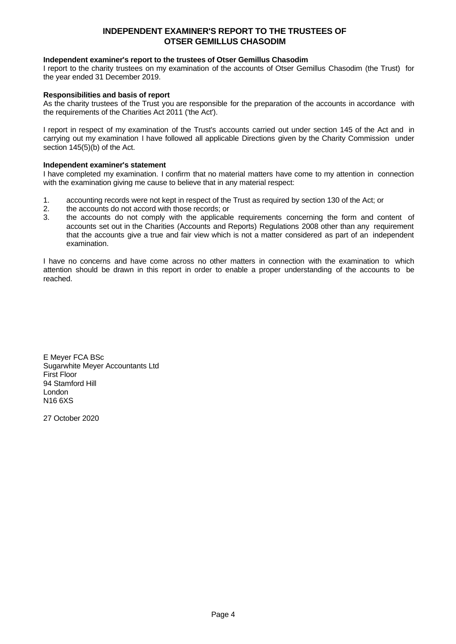## **INDEPENDENT EXAMINER'S REPORT TO THE TRUSTEES OF OTSER GEMILLUS CHASODIM**

### **Independent examiner's report to the trustees of Otser Gemillus Chasodim**

I report to the charity trustees on my examination of the accounts of Otser Gemillus Chasodim (the Trust) for the year ended 31 December 2019.

### **Responsibilities and basis of report**

As the charity trustees of the Trust you are responsible for the preparation of the accounts in accordance with the requirements of the Charities Act 2011 ('the Act').

I report in respect of my examination of the Trust's accounts carried out under section 145 of the Act and in carrying out my examination I have followed all applicable Directions given by the Charity Commission under section 145(5)(b) of the Act.

#### **Independent examiner's statement**

I have completed my examination. I confirm that no material matters have come to my attention in connection with the examination giving me cause to believe that in any material respect:

- 1. accounting records were not kept in respect of the Trust as required by section 130 of the Act; or 2. the accounts do not accord with those records: or
- the accounts do not accord with those records: or
- 3. the accounts do not comply with the applicable requirements concerning the form and content of accounts set out in the Charities (Accounts and Reports) Regulations 2008 other than any requirement that the accounts give a true and fair view which is not a matter considered as part of an independent examination.

I have no concerns and have come across no other matters in connection with the examination to which attention should be drawn in this report in order to enable a proper understanding of the accounts to be reached.

E Meyer FCA BSc Sugarwhite Meyer Accountants Ltd First Floor 94 Stamford Hill London N16 6XS

27 October 2020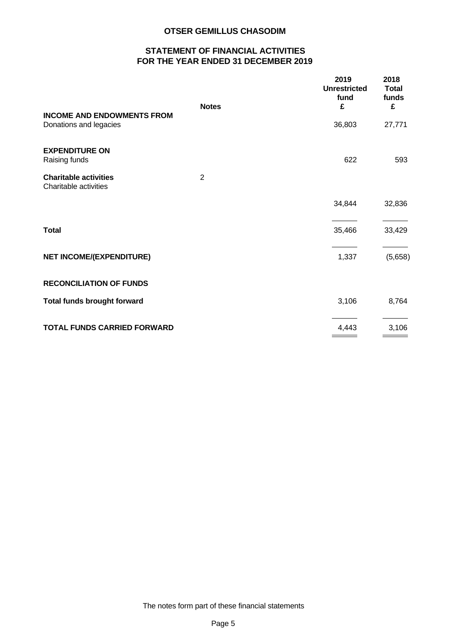# **STATEMENT OF FINANCIAL ACTIVITIES FOR THE YEAR ENDED 31 DECEMBER 2019**

|                                                             | <b>Notes</b>   | 2019<br><b>Unrestricted</b><br>fund<br>£ | 2018<br><b>Total</b><br>funds<br>£ |  |
|-------------------------------------------------------------|----------------|------------------------------------------|------------------------------------|--|
| <b>INCOME AND ENDOWMENTS FROM</b><br>Donations and legacies |                | 36,803                                   | 27,771                             |  |
| <b>EXPENDITURE ON</b><br>Raising funds                      |                | 622                                      | 593                                |  |
| <b>Charitable activities</b><br>Charitable activities       | $\overline{2}$ |                                          |                                    |  |
|                                                             |                | 34,844                                   | 32,836                             |  |
| <b>Total</b>                                                |                | 35,466                                   | 33,429                             |  |
| NET INCOME/(EXPENDITURE)                                    |                | 1,337                                    | (5,658)                            |  |
| <b>RECONCILIATION OF FUNDS</b>                              |                |                                          |                                    |  |
| <b>Total funds brought forward</b>                          |                | 3,106                                    | 8,764                              |  |
| <b>TOTAL FUNDS CARRIED FORWARD</b>                          |                | 4,443                                    | 3,106                              |  |
|                                                             |                |                                          |                                    |  |

The notes form part of these financial statements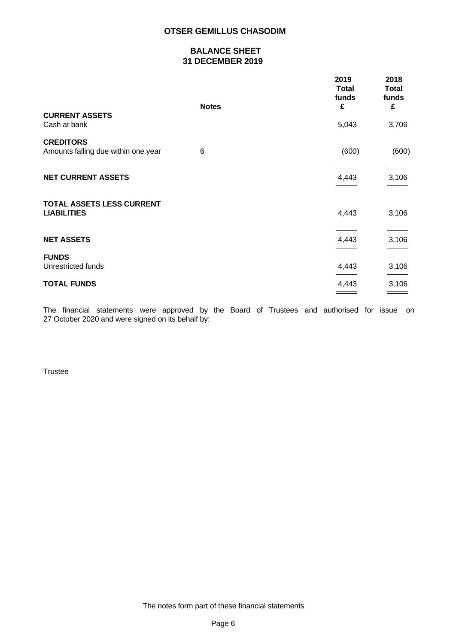# **BALANCE SHEET 31 DECEMBER 2019**

|                                                         |              | 2019<br><b>Total</b><br>funds | 2018<br><b>Total</b><br>funds |  |
|---------------------------------------------------------|--------------|-------------------------------|-------------------------------|--|
|                                                         | <b>Notes</b> | £                             | £                             |  |
| <b>CURRENT ASSETS</b><br>Cash at bank                   |              | 5,043                         | 3,706                         |  |
| <b>CREDITORS</b><br>Amounts falling due within one year | 6            | (600)                         | (600)                         |  |
|                                                         |              |                               |                               |  |
| <b>NET CURRENT ASSETS</b>                               |              | 4,443                         | 3,106                         |  |
|                                                         |              |                               |                               |  |
| <b>TOTAL ASSETS LESS CURRENT</b>                        |              |                               |                               |  |
| <b>LIABILITIES</b>                                      |              | 4,443                         | 3,106                         |  |
|                                                         |              |                               |                               |  |
| <b>NET ASSETS</b>                                       |              | 4,443                         | 3,106                         |  |
|                                                         |              |                               |                               |  |
| <b>FUNDS</b><br>Unrestricted funds                      |              | 4,443                         | 3,106                         |  |
|                                                         |              |                               |                               |  |
| <b>TOTAL FUNDS</b>                                      |              | 4,443                         | 3,106                         |  |
|                                                         |              |                               |                               |  |

The financial statements were approved by the Board of Trustees and authorised for issue on 27 October 2020 and were signed on its behalf by:

**Trustee**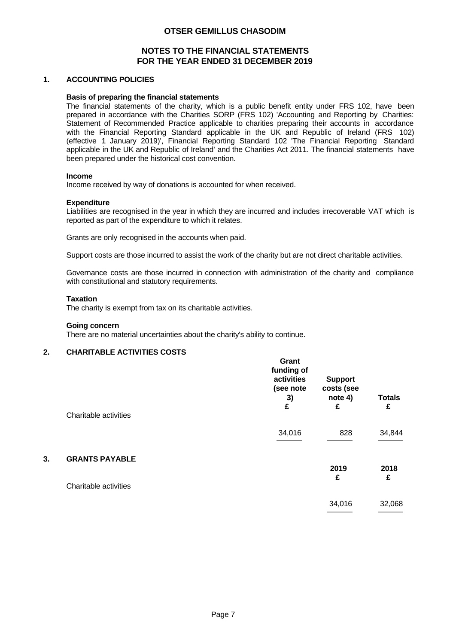## **NOTES TO THE FINANCIAL STATEMENTS FOR THE YEAR ENDED 31 DECEMBER 2019**

### **1. ACCOUNTING POLICIES**

### **Basis of preparing the financial statements**

The financial statements of the charity, which is a public benefit entity under FRS 102, have been prepared in accordance with the Charities SORP (FRS 102) 'Accounting and Reporting by Charities: Statement of Recommended Practice applicable to charities preparing their accounts in accordance with the Financial Reporting Standard applicable in the UK and Republic of Ireland (FRS 102) (effective 1 January 2019)', Financial Reporting Standard 102 'The Financial Reporting Standard applicable in the UK and Republic of Ireland' and the Charities Act 2011. The financial statements have been prepared under the historical cost convention.

### **Income**

Income received by way of donations is accounted for when received.

### **Expenditure**

Liabilities are recognised in the year in which they are incurred and includes irrecoverable VAT which is reported as part of the expenditure to which it relates.

Grants are only recognised in the accounts when paid.

Support costs are those incurred to assist the work of the charity but are not direct charitable activities.

Governance costs are those incurred in connection with administration of the charity and compliance with constitutional and statutory requirements.

#### **Taxation**

The charity is exempt from tax on its charitable activities.

#### **Going concern**

There are no material uncertainties about the charity's ability to continue.

### **2. CHARITABLE ACTIVITIES COSTS**

|    | Charitable activities | Grant<br>funding of<br>activities<br>(see note<br>3)<br>£ | <b>Support</b><br>costs (see<br>note 4)<br>£ | <b>Totals</b><br>£ |
|----|-----------------------|-----------------------------------------------------------|----------------------------------------------|--------------------|
|    |                       |                                                           |                                              |                    |
|    |                       | 34,016                                                    | 828                                          | 34,844             |
| 3. | <b>GRANTS PAYABLE</b> |                                                           |                                              |                    |
|    |                       |                                                           | 2019<br>£                                    | 2018<br>£          |
|    | Charitable activities |                                                           |                                              |                    |
|    |                       |                                                           | 34,016                                       | 32,068             |
|    |                       |                                                           |                                              |                    |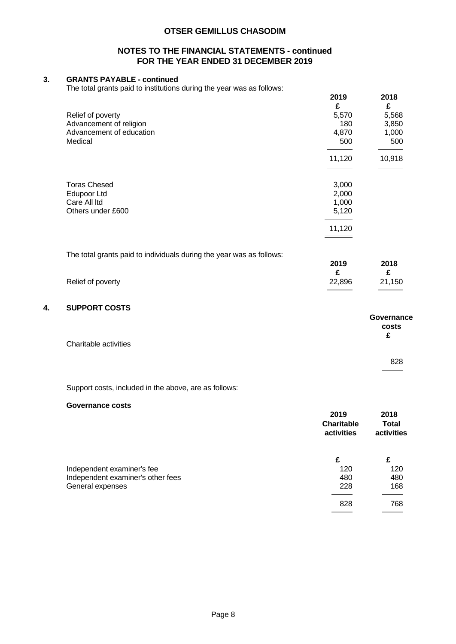## **NOTES TO THE FINANCIAL STATEMENTS - continued FOR THE YEAR ENDED 31 DECEMBER 2019**

# **3. GRANTS PAYABLE - continued**

The total grants paid to institutions during the year was as follows:

|    |                                                                      | 2019<br>£   | 2018<br>£   |
|----|----------------------------------------------------------------------|-------------|-------------|
|    | Relief of poverty                                                    | 5,570       | 5,568       |
|    | Advancement of religion                                              | 180         | 3,850       |
|    | Advancement of education                                             | 4,870       | 1,000       |
|    | Medical                                                              | 500         | 500         |
|    |                                                                      | 11,120      | 10,918      |
|    | <b>Toras Chesed</b>                                                  | 3,000       |             |
|    | Edupoor Ltd                                                          | 2,000       |             |
|    | Care All Itd                                                         | 1,000       |             |
|    | Others under £600                                                    | 5,120       |             |
|    |                                                                      | 11,120      |             |
|    |                                                                      |             |             |
|    | The total grants paid to individuals during the year was as follows: |             |             |
|    |                                                                      | 2019        | 2018        |
|    | Relief of poverty                                                    | £<br>22,896 | £<br>21,150 |
| 4. | <b>SUPPORT COSTS</b>                                                 |             |             |
|    |                                                                      |             | Governance  |
|    |                                                                      |             | costs       |
|    |                                                                      |             | £           |
|    | Charitable activities                                                |             |             |
|    |                                                                      |             | 828         |
|    |                                                                      |             |             |
|    |                                                                      |             |             |

Support costs, included in the above, are as follows:

### **Governance costs**

|                                   | 2019<br><b>Charitable</b><br>activities | 2018<br><b>Total</b><br>activities |
|-----------------------------------|-----------------------------------------|------------------------------------|
|                                   | £                                       | £                                  |
| Independent examiner's fee        | 120                                     | 120                                |
| Independent examiner's other fees | 480                                     | 480                                |
| General expenses                  | 228                                     | 168                                |
|                                   | 828                                     | 768                                |
|                                   |                                         |                                    |